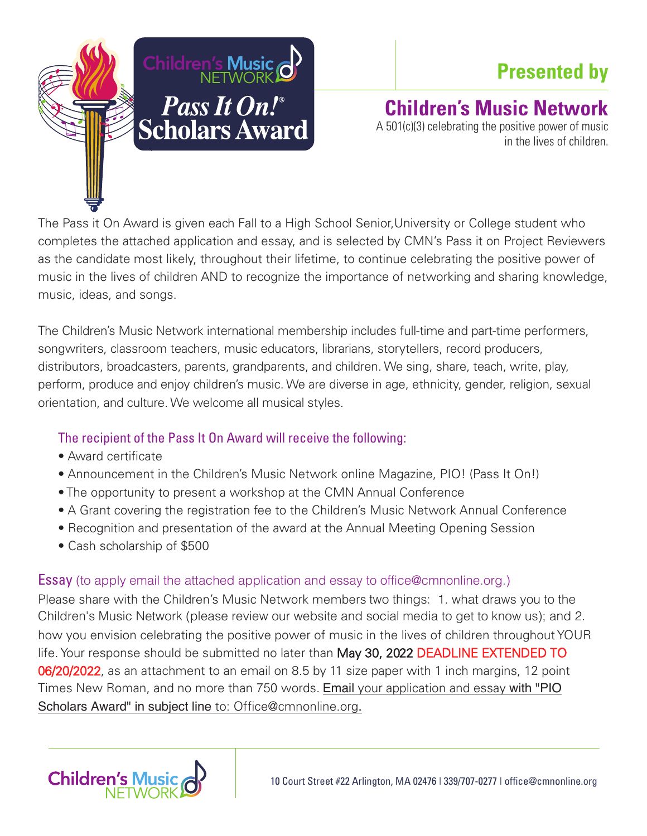

## **Presented by**

## **Children's Music Network**

A 501(c)(3) celebrating the positive power of music in the lives of children.

The Pass it On Award is given each Fall to a High School Senior,University or College student who completes the attached application and essay, and is selected by CMN's Pass it on Project Reviewers as the candidate most likely, throughout their lifetime, to continue celebrating the positive power of music in the lives of children AND to recognize the importance of networking and sharing knowledge, music, ideas, and songs.

The Children's Music Network international membership includes full-time and part-time performers, songwriters, classroom teachers, music educators, librarians, storytellers, record producers, distributors, broadcasters, parents, grandparents, and children. We sing, share, teach, write, play, perform, produce and enjoy children's music. We are diverse in age, ethnicity, gender, religion, sexual orientation, and culture. We welcome all musical styles.

## The recipient of the Pass It On Award will receive the following:

- Award certificate
- Announcement in the Children's Music Network online Magazine, PIO! (Pass It On!)
- The opportunity to present a workshop at the CMN Annual Conference
- A Grant covering the registration fee to the Children's Music Network Annual Conference
- Recognition and presentation of the award at the Annual Meeting Opening Session
- Cash scholarship of \$500

## Essay (to apply email the attached application and essay to office@cmnonline.org.)

Please share with the Children's Music Network members two things: 1. what draws you to the Children's Music Network (please review our website and social media to get to know us); and 2. how you envision celebrating the positive power of music in the lives of children throughout YOUR life. Your response should be submitted no later than May 30, 2022 DEADLINE EXTENDED TO 06/20/2022, as an attachment to an email on 8.5 by 11 size paper with 1 inch margins, 12 point Times New Roman, and no more than 750 words. Email your application and essay with "PIO Scholars Award" in subject line to: Office@cmnonline.org.